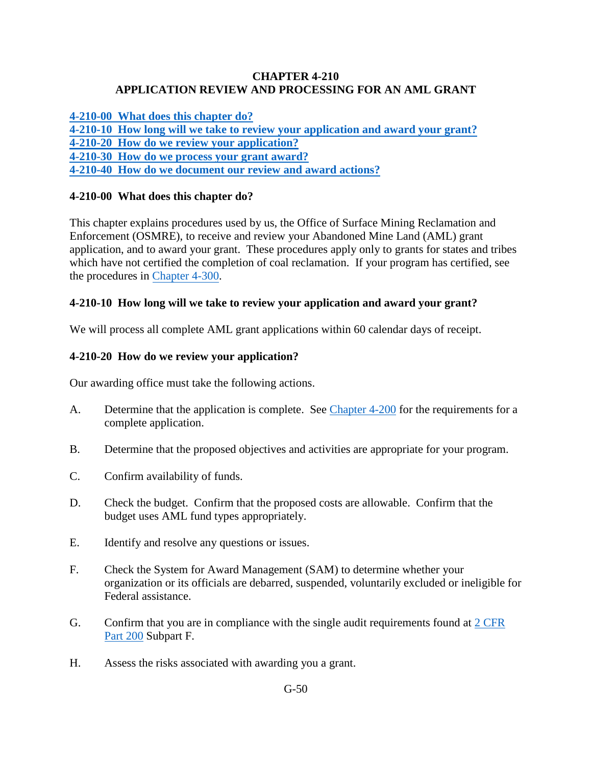#### **CHAPTER 4-210 APPLICATION REVIEW AND PROCESSING FOR AN AML GRANT**

**[4-210-00 What does this chapter do?](#page-0-0)**

**[4-210-10 How long will we take to review your application and award your grant?](#page-0-1)**

- <span id="page-0-0"></span>**[4-210-20 How do we review your application?](#page-0-2)**
- **[4-210-30 How do we process your grant award?](#page-1-0)**

**[4-210-40 How do we document our review and award actions?](#page-1-1)**

# **4-210-00 What does this chapter do?**

This chapter explains procedures used by us, the Office of Surface Mining Reclamation and Enforcement (OSMRE), to receive and review your Abandoned Mine Land (AML) grant application, and to award your grant. These procedures apply only to grants for states and tribes which have not certified the completion of coal reclamation. If your program has certified, see the procedures in [Chapter 4-300.](https://www.osmre.gov/lrg/fam/4-300.pdf)

# <span id="page-0-1"></span>**4-210-10 How long will we take to review your application and award your grant?**

We will process all complete AML grant applications within 60 calendar days of receipt.

# <span id="page-0-2"></span>**4-210-20 How do we review your application?**

Our awarding office must take the following actions.

- A. Determine that the application is complete. See [Chapter 4-200](https://www.osmre.gov/lrg/fam/4-200.pdf) for the requirements for a complete application.
- B. Determine that the proposed objectives and activities are appropriate for your program.
- C. Confirm availability of funds.
- D. Check the budget. Confirm that the proposed costs are allowable. Confirm that the budget uses AML fund types appropriately.
- E. Identify and resolve any questions or issues.
- F. Check the System for Award Management (SAM) to determine whether your organization or its officials are debarred, suspended, voluntarily excluded or ineligible for Federal assistance.
- G. Confirm that you are in compliance with the single audit requirements found at  $2 \text{ CFR}$ [Part 200](http://www.ecfr.gov/cgi-bin/text-idx?SID=41d364d9e1c2f6509d7bf81e1ecbb0ef&mc=true&node=pt2.1.200&rgn=div5http://www.ecfr.gov/cgi-bin/text-idx?SID=41d364d9e1c2f6509d7bf81e1ecbb0ef&mc=true&node=pt2.1.200&rgn=div5) Subpart F.
- H. Assess the risks associated with awarding you a grant.